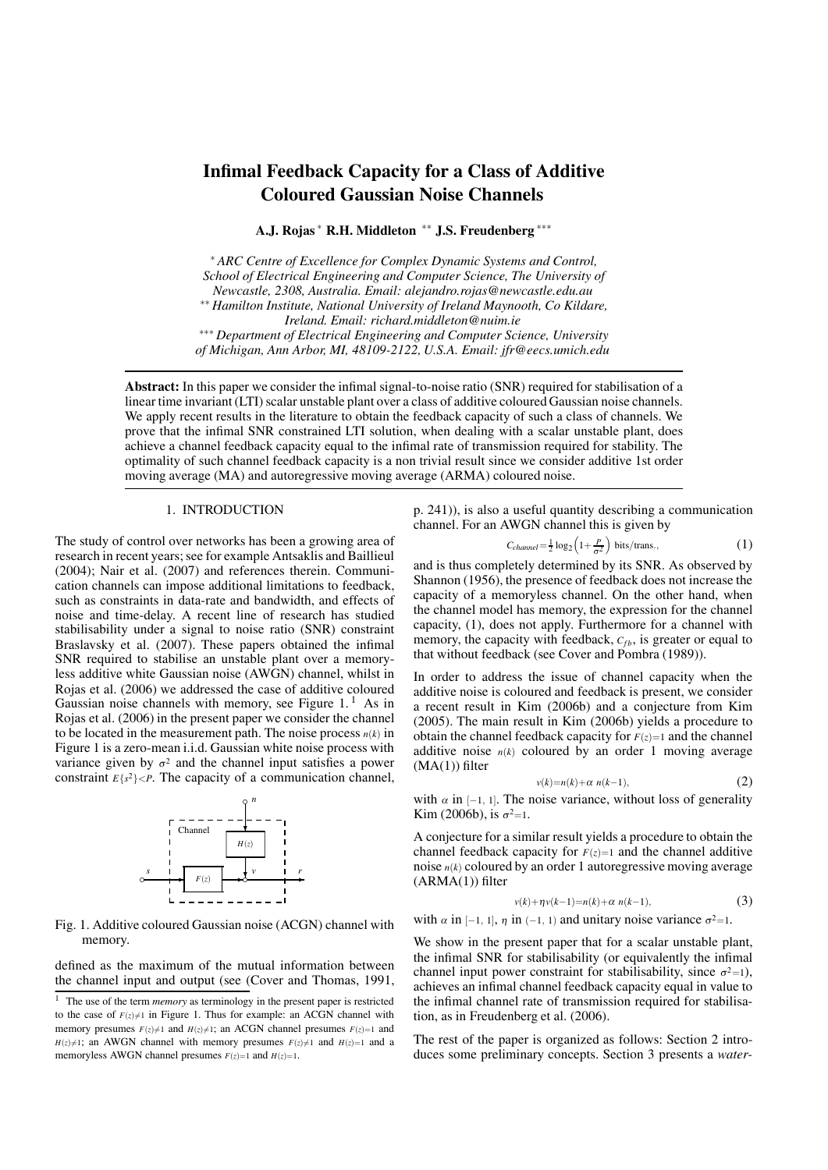# **Infimal Feedback Capacity for a Class of Additive Coloured Gaussian Noise Channels**

**A.J. Rojas** <sup>∗</sup> **R.H. Middleton** ∗∗ **J.S. Freudenberg** ∗∗∗

<sup>∗</sup> *ARC Centre of Excellence for Complex Dynamic Systems and Control, School of Electrical Engineering and Computer Science, The University of Newcastle, 2308, Australia. Email: alejandro.rojas@newcastle.edu.au* ∗∗ *Hamilton Institute, National University of Ireland Maynooth, Co Kildare, Ireland. Email: richard.middleton@nuim.ie* ∗∗∗ *Department of Electrical Engineering and Computer Science, University*

*of Michigan, Ann Arbor, MI, 48109-2122, U.S.A. Email: jfr@eecs.umich.edu*

Abstract: In this paper we consider the infimal signal-to-noise ratio (SNR) required for stabilisation of a linear time invariant (LTI) scalar unstable plant over a class of additive coloured Gaussian noise channels. We apply recent results in the literature to obtain the feedback capacity of such a class of channels. We prove that the infimal SNR constrained LTI solution, when dealing with a scalar unstable plant, does achieve a channel feedback capacity equal to the infimal rate of transmission required for stability. The optimality of such channel feedback capacity is a non trivial result since we consider additive 1st order moving average (MA) and autoregressive moving average (ARMA) coloured noise.

### 1. INTRODUCTION

The study of control over networks has been a growing area of research in recent years; see for example Antsaklis and Baillieul (2004); Nair et al. (2007) and references therein. Communication channels can impose additional limitations to feedback, such as constraints in data-rate and bandwidth, and effects of noise and time-delay. A recent line of research has studied stabilisability under a signal to noise ratio (SNR) constraint Braslavsky et al. (2007). These papers obtained the infimal SNR required to stabilise an unstable plant over a memoryless additive white Gaussian noise (AWGN) channel, whilst in Rojas et al. (2006) we addressed the case of additive coloured Gaussian noise channels with memory, see Figure  $1<sup>1</sup>$  As in Rojas et al. (2006) in the present paper we consider the channel to be located in the measurement path. The noise process  $n(k)$  in Figure 1 is a zero-mean i.i.d. Gaussian white noise process with variance given by  $\sigma^2$  and the channel input satisfies a power constraint  $E{s^2}$   $\lt P$ . The capacity of a communication channel,



Fig. 1. Additive coloured Gaussian noise (ACGN) channel with memory.

defined as the maximum of the mutual information between the channel input and output (see (Cover and Thomas, 1991, p. 241)), is also a useful quantity describing a communication channel. For an AWGN channel this is given by

$$
C_{channel} = \frac{1}{2} \log_2 \left( 1 + \frac{P}{\sigma^2} \right) \text{ bits}/\text{trans.},\tag{1}
$$

and is thus completely determined by its SNR. As observed by Shannon (1956), the presence of feedback does not increase the capacity of a memoryless channel. On the other hand, when the channel model has memory, the expression for the channel capacity, (1), does not apply. Furthermore for a channel with memory, the capacity with feedback,  $C_{fb}$ , is greater or equal to that without feedback (see Cover and Pombra (1989)).

In order to address the issue of channel capacity when the additive noise is coloured and feedback is present, we consider a recent result in Kim (2006b) and a conjecture from Kim (2005). The main result in Kim (2006b) yields a procedure to obtain the channel feedback capacity for  $F(z)=1$  and the channel additive noise  $n(k)$  coloured by an order 1 moving average  $(MA(1))$  filter

$$
v(k)=n(k)+\alpha \ n(k-1),\tag{2}
$$

with  $\alpha$  in [−1, 1]. The noise variance, without loss of generality Kim (2006b), is  $\sigma^2=1$ .

A conjecture for a similar result yields a procedure to obtain the channel feedback capacity for  $F(z)=1$  and the channel additive noise *n*(*k*) coloured by an order 1 autoregressive moving average  $(ARMA(1))$  filter

$$
v(k) + \eta v(k-1) = n(k) + \alpha \ n(k-1),
$$
 (3)

with  $\alpha$  in [−1, 1],  $\eta$  in (−1, 1) and unitary noise variance  $\sigma^2=1$ .

We show in the present paper that for a scalar unstable plant, the infimal SNR for stabilisability (or equivalently the infimal channel input power constraint for stabilisability, since  $\sigma^2=1$ ), achieves an infimal channel feedback capacity equal in value to the infimal channel rate of transmission required for stabilisation, as in Freudenberg et al. (2006).

The rest of the paper is organized as follows: Section 2 introduces some preliminary concepts. Section 3 presents a *water-*

<sup>&</sup>lt;sup>1</sup> The use of the term *memory* as terminology in the present paper is restricted to the case of  $F(z) \neq 1$  in Figure 1. Thus for example: an ACGN channel with memory presumes  $F(z) \neq 1$  and  $H(z) \neq 1$ ; an ACGN channel presumes  $F(z)=1$  and  $H(z) \neq 1$ ; an AWGN channel with memory presumes  $F(z) \neq 1$  and  $H(z) = 1$  and a memoryless AWGN channel presumes  $F(z)=1$  and  $H(z)=1$ .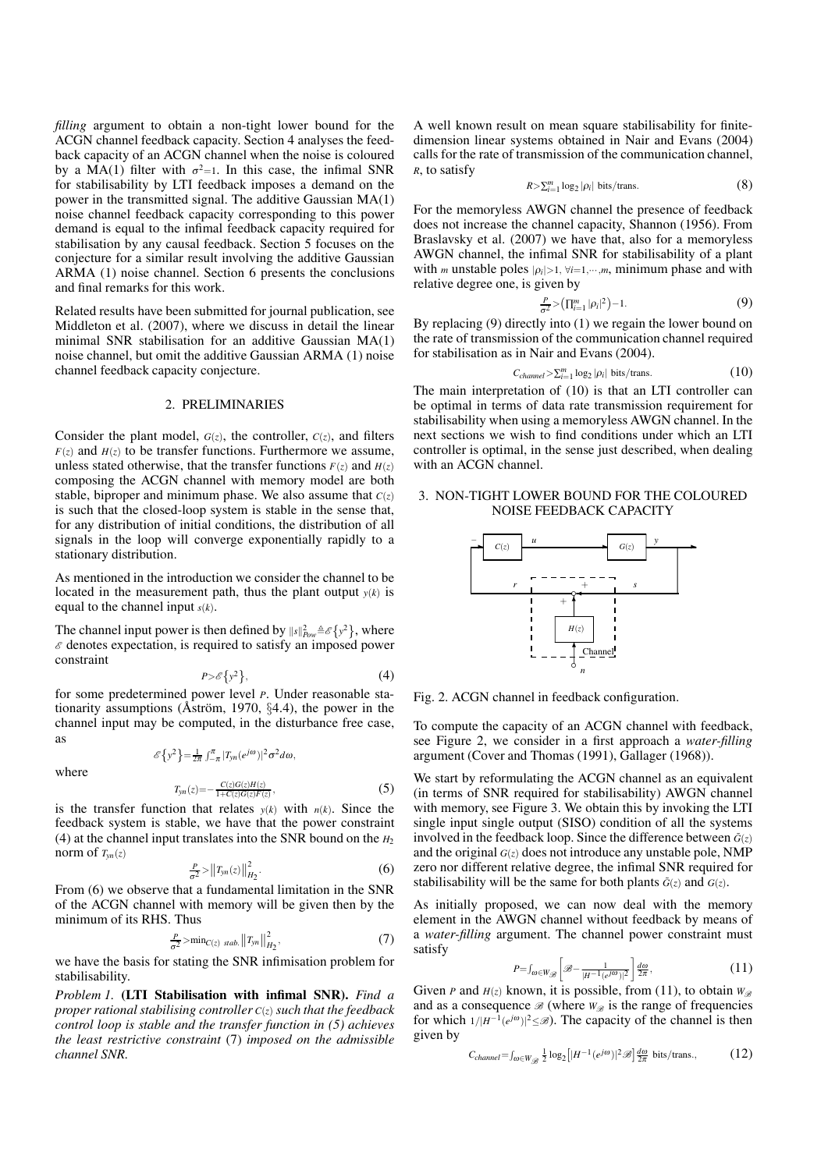filling argument to obtain a non-tight lower bound for the ACGN channel feedback capacity. Section 4 analyses the feedback capacity of an ACGN channel when the noise is coloured by a MA(1) filter with  $\sigma^2=1$ . In this case, the infimal SNR for stabilisability by LTI feedback imposes a demand on the power in the transmitted signal. The additive Gaussian MA(1) noise channel feedback capacity corresponding to this power demand is equal to the infimal feedback capacity required for stabilisation by any causal feedback. Section 5 focuses on the conjecture for a similar result involving the additive Gaussian ARMA (1) noise channel. Section 6 presents the conclusions and final remarks for this work.

Related results have been submitted for journal publication, see Middleton et al. (2007), where we discuss in detail the linear minimal SNR stabilisation for an additive Gaussian MA(1) noise channel, but omit the additive Gaussian ARMA (1) noise channel feedback capacity conjecture.

## 2. PRELIMINARIES

Consider the plant model,  $G(z)$ , the controller,  $C(z)$ , and filters  $F(z)$  and  $H(z)$  to be transfer functions. Furthermore we assume, unless stated otherwise, that the transfer functions  $F(z)$  and  $H(z)$ composing the ACGN channel with memory model are both stable, biproper and minimum phase. We also assume that  $C(z)$ is such that the closed-loop system is stable in the sense that, for any distribution of initial conditions, the distribution of all signals in the loop will converge exponentially rapidly to a stationary distribution.

As mentioned in the introduction we consider the channel to be located in the measurement path, thus the plant output  $y(k)$  is equal to the channel input *s*(*k*).

The channel input power is then defined by  $||s||_{pow}^2 \triangleq \{y^2\}$ , where  $\varepsilon$  denotes expectation, is required to satisfy an imposed power constraint

$$
P > \mathcal{E}\left\{y^2\right\},\tag{4}
$$

for some predetermined power level *P*. Under reasonable stationarity assumptions ( $\AA$ ström, 1970, §4.4), the power in the channel input may be computed, in the disturbance free case, as

 $\mathscr{E}\left\{y^2\right\} = \frac{1}{2\pi} \int_{-\pi}^{\pi} |T_{yn}(e^{j\omega})|^2 \sigma^2 d\omega,$ 

where

$$
T_{yn}(z) = -\frac{C(z)G(z)H(z)}{1 + C(z)G(z)F(z)},
$$
\n(5)

is the transfer function that relates  $y(k)$  with  $n(k)$ . Since the feedback system is stable, we have that the power constraint (4) at the channel input translates into the SNR bound on the  $H_2$ norm of  $T_{vn}(z)$ 

$$
\frac{P}{\sigma^2} > ||T_{yn}(z)||^2_{H_2}.
$$
 (6)

From (6) we observe that a fundamental limitation in the SNR of the ACGN channel with memory will be given then by the minimum of its RHS. Thus

$$
\frac{P}{\sigma^2} > \min_{C(z) \, stab.} ||T_{yn}||_{H_2}^2,
$$
\n(7)

we have the basis for stating the SNR infimisation problem for stabilisability.

**Problem 1. (LTI Stabilisation with infimal SNR).** Find a *proper rational stabilising controller C*(*z*) *such that the feedback control loop is stable and the transfer function in (5) achieves the least restrictive constraint* (7) *imposed on the admissible channel SNR.*

A well known result on mean square stabilisability for finitedimension linear systems obtained in Nair and Evans (2004) calls for the rate of transmission of the communication channel, *R*, to satisfy

$$
R > \sum_{i=1}^{m} \log_2 |\rho_i| \text{ bits}/\text{trans.}
$$
 (8)

For the memoryless AWGN channel the presence of feedback does not increase the channel capacity, Shannon (1956). From Braslavsky et al. (2007) we have that, also for a memoryless AWGN channel, the infimal SNR for stabilisability of a plant with *m* unstable poles  $|\rho_i| > 1$ ,  $\forall i = 1, \dots, m$ , minimum phase and with relative degree one, is given by

$$
\frac{P}{\sigma^2} > \left( \prod_{i=1}^m |\rho_i|^2 \right) - 1. \tag{9}
$$

By replacing (9) directly into (1) we regain the lower bound on the rate of transmission of the communication channel required for stabilisation as in Nair and Evans (2004).

$$
C_{channel} > \sum_{i=1}^{m} \log_2 |\rho_i| \text{ bits}/\text{trans.}
$$
 (10)

The main interpretation of (10) is that an LTI controller can be optimal in terms of data rate transmission requirement for stabilisability when using a memoryless AWGN channel. In the next sections we wish to find conditions under which an LTI controller is optimal, in the sense just described, when dealing with an ACGN channel.

## 3. NON-TIGHT LOWER BOUND FOR THE COLOURED NOISE FEEDBACK CAPACITY



Fig. 2. ACGN channel in feedback configuration.

To compute the capacity of an ACGN channel with feedback, see Figure 2, we consider in a first approach a *water-filling* argument (Cover and Thomas (1991), Gallager (1968)).

We start by reformulating the ACGN channel as an equivalent (in terms of SNR required for stabilisability) AWGN channel with memory, see Figure 3. We obtain this by invoking the LTI single input single output (SISO) condition of all the systems involved in the feedback loop. Since the difference between  $\tilde{G}(z)$ and the original  $G(z)$  does not introduce any unstable pole, NMP zero nor different relative degree, the infimal SNR required for stabilisability will be the same for both plants  $\tilde{G}(z)$  and  $G(z)$ .

As initially proposed, we can now deal with the memory element in the AWGN channel without feedback by means of a water-filling argument. The channel power constraint must satisfy

$$
P = \int_{\omega \in W_{\mathscr{B}}}\left[\mathscr{B} - \frac{1}{|H^{-1}(e^{j\omega})|^2}\right] \frac{d\omega}{2\pi},\tag{11}
$$

Given *P* and  $H(z)$  known, it is possible, from (11), to obtain  $W_{\mathscr{B}}$ and as a consequence  $\mathcal{B}$  (where  $W_{\mathcal{B}}$  is the range of frequencies for which  $1/|H^{-1}(e^{j\omega})|^2 \leq \mathcal{B}$ ). The capacity of the channel is then given by

$$
C_{channel} = \int_{\omega \in W_{\mathcal{B}}} \frac{1}{2} \log_2 \left[ |H^{-1}(e^{j\omega})|^2 \mathcal{B} \right] \frac{d\omega}{2\pi} \text{ bits}/\text{trans.},\tag{12}
$$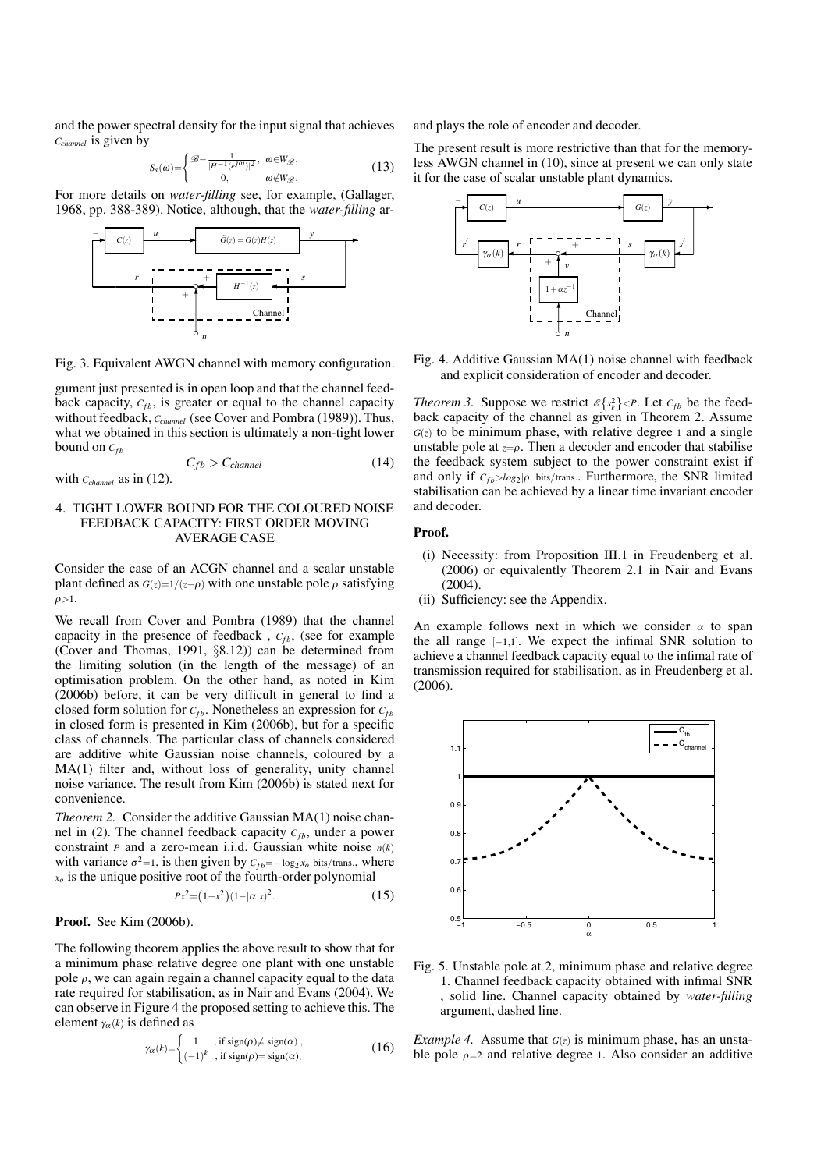and the power spectral density for the input signal that achieves *Cchannel* is given by

$$
S_s(\omega) = \begin{cases} \mathcal{B} - \frac{1}{|H^{-1}(e^{j\omega})|^2}, & \omega \in W_{\mathcal{B}}, \\ 0, & \omega \notin W_{\mathcal{B}}. \end{cases}
$$
 (13)

For more details on *water-filling* see, for example, (Gallager, 1968, pp. 388-389). Notice, although, that the *water-filling* ar-



Fig. 3. Equivalent AWGN channel with memory configuration.

gument just presented is in open loop and that the channel feedback capacity,  $C_{fb}$ , is greater or equal to the channel capacity without feedback, *C<sub>channel</sub>* (see Cover and Pombra (1989)). Thus, what we obtained in this section is ultimately a non-tight lower bound on  $C_{fb}$ 

$$
C_{fb} > C_{channel}
$$
 with  $c_{channel}$  as in (12). (14)

## 4. TIGHT LOWER BOUND FOR THE COLOURED NOISE FEEDBACK CAPACITY: FIRST ORDER MOVING AVERAGE CASE

Consider the case of an ACGN channel and a scalar unstable plant defined as  $G(z)=1/(z-\rho)$  with one unstable pole  $\rho$  satisfying  $\rho > 1$ .

We recall from Cover and Pombra (1989) that the channel capacity in the presence of feedback,  $C_{fb}$ , (see for example (Cover and Thomas, 1991, §8.12)) can be determined from the limiting solution (in the length of the message) of an optimisation problem. On the other hand, as noted in Kim (2006b) before, it can be very difficult in general to find a closed form solution for  $C_{fb}$ . Nonetheless an expression for  $C_{fb}$ in closed form is presented in Kim (2006b), but for a specific class of channels. The particular class of channels considered are additive white Gaussian noise channels, coloured by a MA(1) filter and, without loss of generality, unity channel noise variance. The result from Kim (2006b) is stated next for convenience.

*Theorem 2.* Consider the additive Gaussian MA(1) noise channel in  $(2)$ . The channel feedback capacity  $C_{fb}$ , under a power constraint *P* and a zero-mean i.i.d. Gaussian white noise  $n(k)$ with variance  $\sigma^2 = 1$ , is then given by  $C_{fb} = -\log_2 x_o$  bits/trans., where  $x<sub>o</sub>$  is the unique positive root of the fourth-order polynomial

$$
Px^2 = (1 - x^2)(1 - |\alpha|x|^2). \tag{15}
$$

## **Proof.** See Kim (2006b).

The following theorem applies the above result to show that for a minimum phase relative degree one plant with one unstable pole  $\rho$ , we can again regain a channel capacity equal to the data rate required for stabilisation, as in Nair and Evans (2004). We can observe in Figure 4 the proposed setting to achieve this. The element  $\gamma_\alpha(k)$  is defined as

$$
\gamma_{\alpha}(k) = \begin{cases} 1, & \text{if sign}(\rho) \neq sign(\alpha), \\ (-1)^k, & \text{if sign}(\rho) = sign(\alpha), \end{cases}
$$
 (16)

and plays the role of encoder and decoder.

The present result is more restrictive than that for the memoryless AWGN channel in (10), since at present we can only state it for the case of scalar unstable plant dynamics.



Fig. 4. Additive Gaussian MA(1) noise channel with feedback and explicit consideration of encoder and decoder.

*Theorem 3.* Suppose we restrict  $\mathcal{E}\left\{s_k^2\right\} < P$ . Let  $C_{fb}$  be the feedback capacity of the channel as given in Theorem 2. Assume  $G(z)$  to be minimum phase, with relative degree 1 and a single unstable pole at  $z = \rho$ . Then a decoder and encoder that stabilise the feedback system subject to the power constraint exist if and only if  $C_{fb} > log_2 |\rho|$  bits/trans.. Furthermore, the SNR limited stabilisation can be achieved by a linear time invariant encoder and decoder.

#### **Proof.**

- (i) Necessity: from Proposition III.1 in Freudenberg et al. (2006) or equivalently Theorem 2.1 in Nair and Evans (2004).
- (ii) Sufficiency: see the Appendix.

An example follows next in which we consider  $\alpha$  to span the all range  $[-1,1]$ . We expect the infimal SNR solution to achieve a channel feedback capacity equal to the infimal rate of transmission required for stabilisation, as in Freudenberg et al. (2006).



Fig. 5. Unstable pole at 2, minimum phase and relative degree 1. Channel feedback capacity obtained with infimal SNR , solid line. Channel capacity obtained by *water--lling* argument, dashed line.

*Example 4.* Assume that  $G(z)$  is minimum phase, has an unstable pole  $\rho = 2$  and relative degree 1. Also consider an additive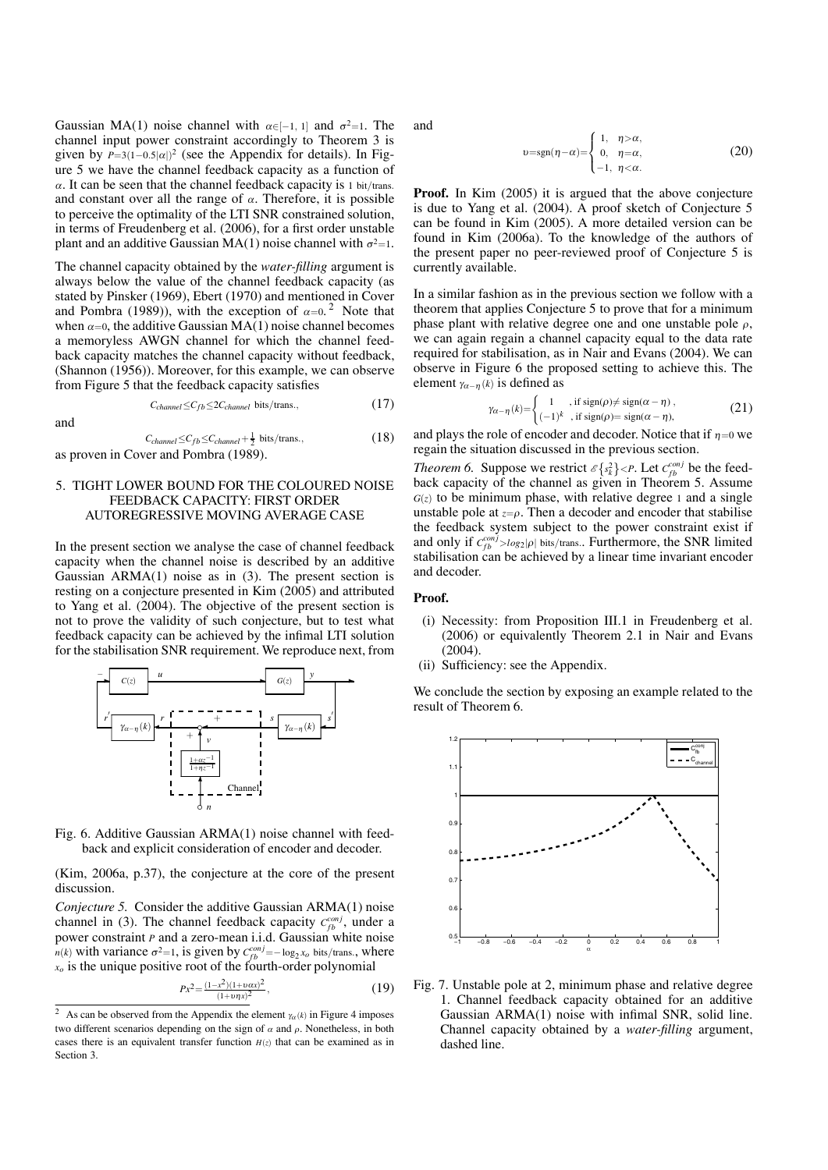Gaussian MA(1) noise channel with  $\alpha \in [-1, 1]$  and  $\sigma^2 = 1$ . The channel input power constraint accordingly to Theorem 3 is given by  $P=3(1-0.5|\alpha|)^2$  (see the Appendix for details). In Figure 5 we have the channel feedback capacity as a function of  $\alpha$ . It can be seen that the channel feedback capacity is 1 bit/trans. and constant over all the range of  $\alpha$ . Therefore, it is possible to perceive the optimality of the LTI SNR constrained solution, in terms of Freudenberg et al. (2006), for a first order unstable plant and an additive Gaussian MA(1) noise channel with  $\sigma^2=1$ .

The channel capacity obtained by the *water--lling* argument is always below the value of the channel feedback capacity (as stated by Pinsker (1969), Ebert (1970) and mentioned in Cover and Pombra (1989)), with the exception of  $\alpha=0$ .<sup>2</sup> Note that when  $\alpha$ =0, the additive Gaussian MA(1) noise channel becomes a memoryless AWGN channel for which the channel feedback capacity matches the channel capacity without feedback, (Shannon (1956)). Moreover, for this example, we can observe from Figure 5 that the feedback capacity satisfies

$$
C_{channel} \leq C_{fb} \leq 2C_{channel} \text{ bits}/\text{trans.},\tag{17}
$$

and

 $C_{channel} \leq C_{fb} \leq C_{channel} + \frac{1}{2}$  bits/trans., (18)

## as proven in Cover and Pombra (1989).

## 5. TIGHT LOWER BOUND FOR THE COLOURED NOISE FEEDBACK CAPACITY: FIRST ORDER AUTOREGRESSIVE MOVING AVERAGE CASE

In the present section we analyse the case of channel feedback capacity when the channel noise is described by an additive Gaussian  $ARMA(1)$  noise as in  $(3)$ . The present section is resting on a conjecture presented in Kim (2005) and attributed to Yang et al. (2004). The objective of the present section is not to prove the validity of such conjecture, but to test what feedback capacity can be achieved by the infimal LTI solution for the stabilisation SNR requirement. We reproduce next, from



Fig. 6. Additive Gaussian ARMA(1) noise channel with feedback and explicit consideration of encoder and decoder.

(Kim, 2006a, p.37), the conjecture at the core of the present discussion.

*Conjecture 5.* Consider the additive Gaussian ARMA(1) noise channel in (3). The channel feedback capacity  $C_{fb}^{conj}$ , under a power constraint *P* and a zero-mean i.i.d. Gaussian white noise *n*(*k*) with variance  $\sigma^2 = 1$ , is given by  $C_{fb}^{conj} = -\log_2 x_o$  bits/trans., where *xo* is the unique positive root of the fourth-order polynomial

$$
Px^2 = \frac{(1-x^2)(1+\nu\alpha x)^2}{(1+\nu\eta x)^2},\tag{19}
$$

and

$$
\nu = \text{sgn}(\eta - \alpha) = \begin{cases} 1, & \eta > \alpha, \\ 0, & \eta = \alpha, \\ -1, & \eta < \alpha. \end{cases} \tag{20}
$$

**Proof.** In Kim (2005) it is argued that the above conjecture is due to Yang et al. (2004). A proof sketch of Conjecture 5 can be found in Kim (2005). A more detailed version can be found in Kim (2006a). To the knowledge of the authors of the present paper no peer-reviewed proof of Conjecture 5 is currently available.

In a similar fashion as in the previous section we follow with a theorem that applies Conjecture 5 to prove that for a minimum phase plant with relative degree one and one unstable pole  $\rho$ , we can again regain a channel capacity equal to the data rate required for stabilisation, as in Nair and Evans (2004). We can observe in Figure 6 the proposed setting to achieve this. The element  $\gamma_{\alpha-\eta}(k)$  is defined as

$$
\gamma_{\alpha-\eta}(k) = \begin{cases} 1, & \text{if sign}(\rho) \neq \text{sign}(\alpha-\eta), \\ (-1)^k, & \text{if sign}(\rho) = \text{sign}(\alpha-\eta), \end{cases}
$$
 (21)

and plays the role of encoder and decoder. Notice that if  $\eta=0$  we regain the situation discussed in the previous section.

*Theorem 6.* Suppose we restrict  $\mathcal{E}\left\{s_k^2\right\} < P$ . Let  $C_{fb}^{conj}$  be the feedback capacity of the channel as given in Theorem 5. Assume  $G(z)$  to be minimum phase, with relative degree 1 and a single unstable pole at  $z = \rho$ . Then a decoder and encoder that stabilise the feedback system subject to the power constraint exist if and only if  $C_{fb}^{conj} > log_2 |\rho|$  bits/trans.. Furthermore, the SNR limited stabilisation can be achieved by a linear time invariant encoder and decoder.

## **Proof.**

- (i) Necessity: from Proposition III.1 in Freudenberg et al. (2006) or equivalently Theorem 2.1 in Nair and Evans (2004).
- (ii) Sufficiency: see the Appendix.

We conclude the section by exposing an example related to the result of Theorem 6.



Fig. 7. Unstable pole at 2, minimum phase and relative degree 1. Channel feedback capacity obtained for an additive Gaussian  $ARMA(1)$  noise with infimal SNR, solid line. Channel capacity obtained by a *water-filling* argument, dashed line.

<sup>&</sup>lt;sup>2</sup> As can be observed from the Appendix the element  $\gamma_{\alpha}(k)$  in Figure 4 imposes two different scenarios depending on the sign of  $\alpha$  and  $\rho$ . Nonetheless, in both cases there is an equivalent transfer function  $H(z)$  that can be examined as in Section 3.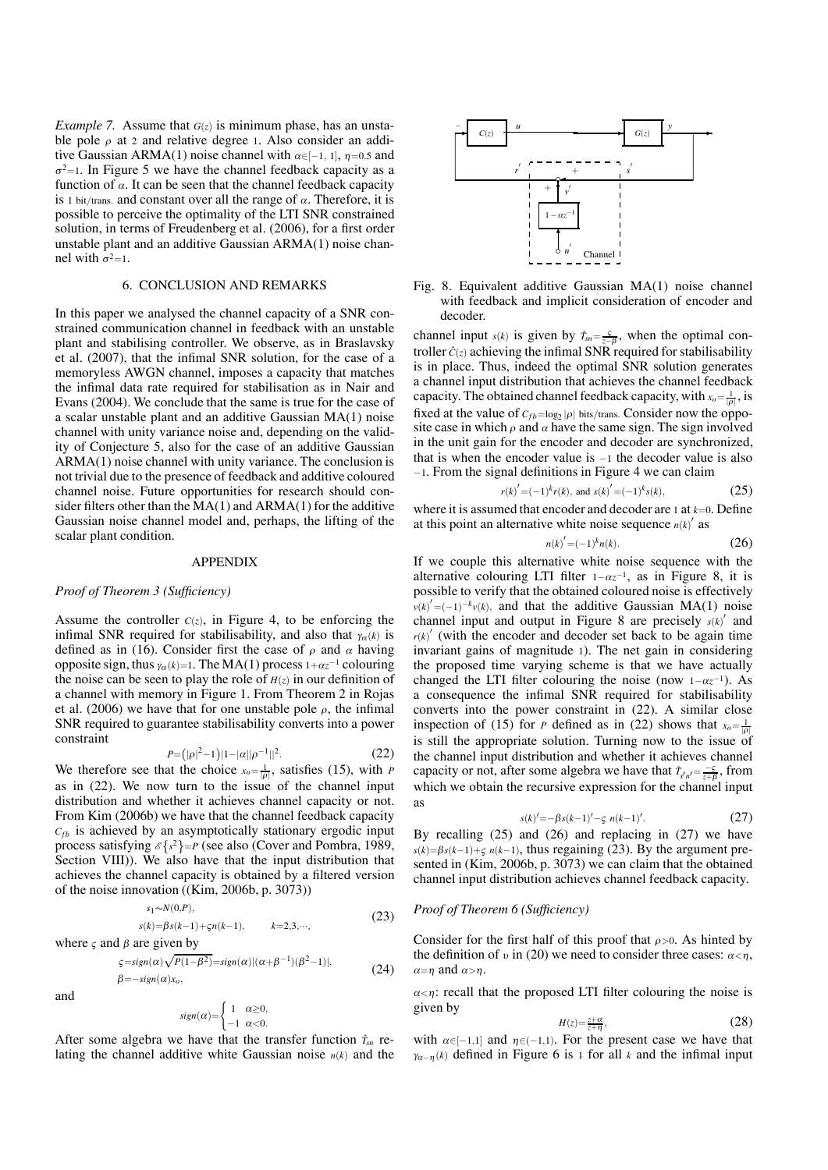*Example 7.* Assume that *G*(*z*) is minimum phase, has an unstable pole  $\rho$  at 2 and relative degree 1. Also consider an additive Gaussian ARMA(1) noise channel with  $\alpha \in [-1, 1]$ ,  $\eta = 0.5$  and  $\sigma^2$ =1. In Figure 5 we have the channel feedback capacity as a function of  $\alpha$ . It can be seen that the channel feedback capacity is 1 bit/trans. and constant over all the range of  $\alpha$ . Therefore, it is possible to perceive the optimality of the LTI SNR constrained solution, in terms of Freudenberg et al. (2006), for a first order unstable plant and an additive Gaussian ARMA(1) noise channel with  $\sigma^2=1$ .

## 6. CONCLUSION AND REMARKS

In this paper we analysed the channel capacity of a SNR constrained communication channel in feedback with an unstable plant and stabilising controller. We observe, as in Braslavsky et al. (2007), that the infimal SNR solution, for the case of a memoryless AWGN channel, imposes a capacity that matches the infimal data rate required for stabilisation as in Nair and Evans (2004). We conclude that the same is true for the case of a scalar unstable plant and an additive Gaussian MA(1) noise channel with unity variance noise and, depending on the validity of Conjecture 5, also for the case of an additive Gaussian ARMA(1) noise channel with unity variance. The conclusion is not trivial due to the presence of feedback and additive coloured channel noise. Future opportunities for research should consider filters other than the  $MA(1)$  and  $ARMA(1)$  for the additive Gaussian noise channel model and, perhaps, the lifting of the scalar plant condition.

### APPENDIX

### **Proof of Theorem 3 (Sufficiency)**

Assume the controller  $C(z)$ , in Figure 4, to be enforcing the infimal SNR required for stabilisability, and also that  $\gamma_{\alpha}(k)$  is defined as in (16). Consider first the case of  $\rho$  and  $\alpha$  having opposite sign, thus  $\gamma_\alpha(k)=1$ . The MA(1) process  $1+\alpha z^{-1}$  colouring the noise can be seen to play the role of  $H(z)$  in our definition of a channel with memory in Figure 1. From Theorem 2 in Rojas et al. (2006) we have that for one unstable pole  $\rho$ , the infimal SNR required to guarantee stabilisability converts into a power constraint

$$
P = (|\rho|^2 - 1)|1 - |\alpha||\rho^{-1}||^2. \tag{22}
$$

We therefore see that the choice  $x_0 = \frac{1}{|p|}$ , satisfies (15), with *P* as in (22). We now turn to the issue of the channel input distribution and whether it achieves channel capacity or not. From Kim (2006b) we have that the channel feedback capacity  $C_{fb}$  is achieved by an asymptotically stationary ergodic input process satisfying  $\mathcal{E}\lbrace s^2 \rbrace = P$  (see also (Cover and Pombra, 1989, Section VIII)). We also have that the input distribution that achieves the channel capacity is obtained by a filtered version of the noise innovation ((Kim, 2006b, p. 3073))

$$
s_1 \sim N(0, P),
$$
  
\n
$$
s(k) = \beta s(k-1) + \varsigma n(k-1),
$$
  $k=2,3,\cdots,$  (23)

where  $\varsigma$  and  $\beta$  are given by

$$
\lim_{\beta \to \text{sign}(\alpha)} \frac{\sqrt{P(1-\beta^2)}}{\sqrt{P(1-\beta^2)}} = \text{sign}(\alpha) |(\alpha + \beta^{-1})(\beta^2 - 1)|,
$$
\n
$$
\beta = -\text{sign}(\alpha) x_o,
$$
\n(24)

and

$$
sign(\alpha) = \begin{cases} 1 & \alpha \ge 0, \\ -1 & \alpha < 0. \end{cases}
$$

After some algebra we have that the transfer function  $\hat{T}_{sn}$  relating the channel additive white Gaussian noise *n*(*k*) and the



Fig. 8. Equivalent additive Gaussian MA(1) noise channel with feedback and implicit consideration of encoder and decoder.

channel input  $s(k)$  is given by  $\hat{T}_{sn} = \frac{S}{z-\beta}$ , when the optimal controller  $\hat{C}(z)$  achieving the infimal SNR required for stabilisability is in place. Thus, indeed the optimal SNR solution generates a channel input distribution that achieves the channel feedback capacity. The obtained channel feedback capacity, with  $x_o = \frac{1}{|p|}$ , is fixed at the value of  $C_{fb} = \log_2 |\rho|$  bits/trans. Consider now the opposite case in which  $\rho$  and  $\alpha$  have the same sign. The sign involved in the unit gain for the encoder and decoder are synchronized, that is when the encoder value is −1 the decoder value is also  $-1$ . From the signal definitions in Figure 4 we can claim

$$
r(k)' = (-1)^k r(k)
$$
, and  $s(k)' = (-1)^k s(k)$ , (25)

where it is assumed that encoder and decoder are  $1$  at  $k=0$ . Define at this point an alternative white noise sequence  $n(k)$ <sup>'</sup> as

$$
n(k)' = (-1)^k n(k). \tag{26}
$$

If we couple this alternative white noise sequence with the alternative colouring LTI filter  $1-\alpha z^{-1}$ , as in Figure 8, it is possible to verify that the obtained coloured noise is effectively  $v(k)' = (-1)^{-k}v(k)$ , and that the additive Gaussian MA(1) noise channel input and output in Figure 8 are precisely  $s(k)$ <sup>'</sup> and  $r(k)$ <sup>'</sup> (with the encoder and decoder set back to be again time invariant gains of magnitude 1). The net gain in considering the proposed time varying scheme is that we have actually changed the LTI filter colouring the noise (now  $1-\alpha z^{-1}$ ). As a consequence the infimal SNR required for stabilisability converts into the power constraint in (22). A similar close inspection of (15) for *P* defined as in (22) shows that  $x_0 = \frac{1}{\rho}$ is still the appropriate solution. Turning now to the issue of the channel input distribution and whether it achieves channel capacity or not, after some algebra we have that  $\hat{T}_{s'n'} = \frac{-s}{z+\beta}$ , from which we obtain the recursive expression for the channel input as

$$
s(k)' = -\beta s(k-1) - \varsigma \ n(k-1)'. \tag{27}
$$

By recalling  $(25)$  and  $(26)$  and replacing in  $(27)$  we have  $s(k) = \beta s(k-1) + \varsigma n(k-1)$ , thus regaining (23). By the argument presented in (Kim, 2006b, p. 3073) we can claim that the obtained channel input distribution achieves channel feedback capacity.

### **Proof of Theorem 6 (Sufficiency)**

Consider for the first half of this proof that  $\rho > 0$ . As hinted by the definition of  $\nu$  in (20) we need to consider three cases:  $\alpha < \eta$ ,  $\alpha = n$  and  $\alpha > n$ .

 $\alpha < \eta$ : recall that the proposed LTI filter colouring the noise is given by

$$
H(z) = \frac{z + \alpha}{z + \eta},\tag{28}
$$

with  $\alpha \in [-1,1]$  and  $\eta \in (-1,1)$ . For the present case we have that  $\gamma_{\alpha-\eta}(k)$  defined in Figure 6 is 1 for all *k* and the infimal input